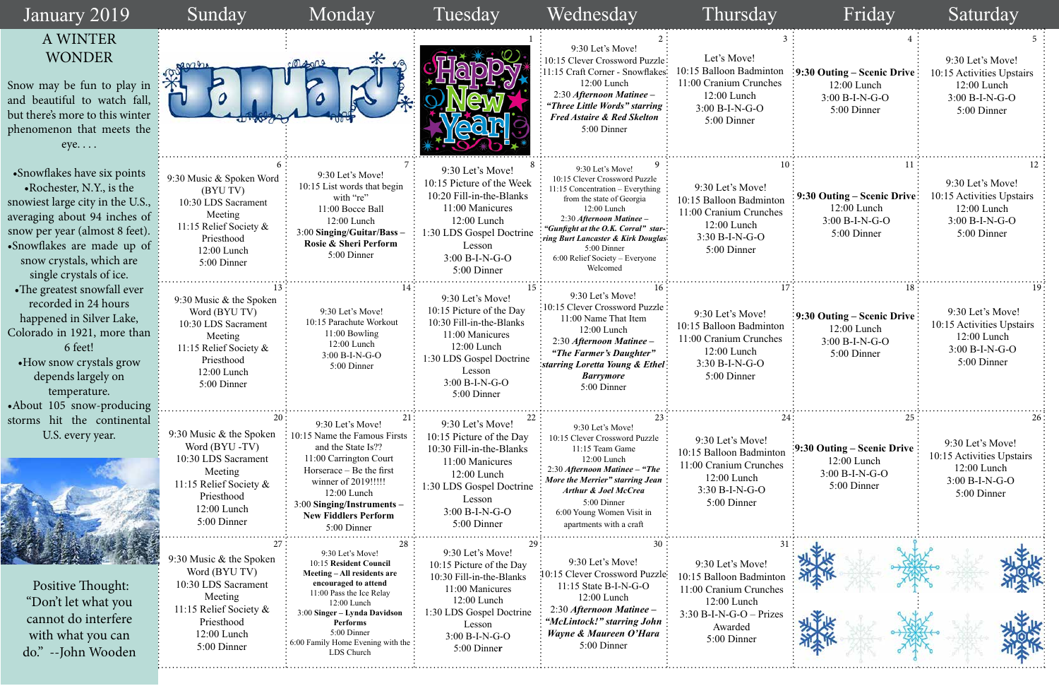| 3                              | $\overline{4}$                                                                                | 5                                                                                                      |  |  |  |
|--------------------------------|-----------------------------------------------------------------------------------------------|--------------------------------------------------------------------------------------------------------|--|--|--|
| m<br>'S                        | 9:30 Outing – Scenic Drive<br>12:00 Lunch<br>3:00 B-I-N-G-O<br>5:00 Dinner                    | 9:30 Let's Move!<br>10:15 Activities Upstairs<br>12:00 Lunch<br>3:00 B-I-N-G-O<br>5:00 Dinner          |  |  |  |
| $10\,$<br>ρn<br>:S             | 11<br>9:30 Outing – Scenic Drive:<br>12:00 Lunch<br>3:00 B-I-N-G-O<br>5:00 Dinner             | 12<br>9:30 Let's Move!<br>10:15 Activities Upstairs<br>12:00 Lunch<br>3:00 B-I-N-G-O<br>5:00 Dinner    |  |  |  |
| 17<br>m<br>S:                  | 18<br>9:30 Outing - Scenic Drive<br>12:00 Lunch<br>3:00 B-I-N-G-O<br>5:00 Dinner              | 19<br>9:30 Let's Move!<br>10:15 Activities Upstairs<br>12:00 Lunch<br>3:00 B-I-N-G-O<br>5:00 Dinner    |  |  |  |
| 24:<br>$\mathop{\rm dn}$<br>2S | 25 <sup>1</sup><br>9:30 Outing - Scenic Drive<br>12:00 Lunch<br>3:00 B-I-N-G-O<br>5:00 Dinner | 26:<br>9:30 Let's Move!<br>10:15 Activities Upstairs<br>12:00 Lunch<br>$3:00 B-I-N-G-O$<br>5:00 Dinner |  |  |  |
| 31<br>эn<br>2S                 |                                                                                               |                                                                                                        |  |  |  |
| 5S                             |                                                                                               |                                                                                                        |  |  |  |

| January 2019                                                                                                                                                                                                                                                       | Sunday                                                                                                                                             | Monday                                                                                                                                                                                                                                                     | Tuesday                                                                                                                                                                              | Wednesday                                                                                                                                                                                                                                                                                                 | Thursday                                                                                                                                  | Friday                                                                                                  | Saturday                                                                                          |
|--------------------------------------------------------------------------------------------------------------------------------------------------------------------------------------------------------------------------------------------------------------------|----------------------------------------------------------------------------------------------------------------------------------------------------|------------------------------------------------------------------------------------------------------------------------------------------------------------------------------------------------------------------------------------------------------------|--------------------------------------------------------------------------------------------------------------------------------------------------------------------------------------|-----------------------------------------------------------------------------------------------------------------------------------------------------------------------------------------------------------------------------------------------------------------------------------------------------------|-------------------------------------------------------------------------------------------------------------------------------------------|---------------------------------------------------------------------------------------------------------|---------------------------------------------------------------------------------------------------|
| A WINTER<br><b>WONDER</b><br>Snow may be fun to play in:<br>and beautiful to watch fall, i<br>but there's more to this winter<br>phenomenon that meets the<br>$eye. \ldots$                                                                                        | 0<br>TV                                                                                                                                            | $\star$<br>⊬                                                                                                                                                                                                                                               |                                                                                                                                                                                      | 9:30 Let's Move!<br>10:15 Clever Crossword Puzzle:<br>11:15 Craft Corner - Snowflakes:<br>12:00 Lunch<br>2:30 Afternoon Matinee -<br>"Three Little Words" starring<br><b>Fred Astaire &amp; Red Skelton</b><br>5:00 Dinner                                                                                | Let's Move!<br>10:15 Balloon Badminton<br>11:00 Cranium Crunches<br>12:00 Lunch<br>$3:00 B-I-N-G-O$<br>5:00 Dinner                        | $\frac{1}{2}$ 9:30 Outing – Scenic Drive<br>$12:00$ Lunch<br>3:00 B-I-N-G-O<br>5:00 Dinner              | 9:30 Let's Move!<br>10:15 Activities Upstairs<br>$12:00$ Lunch<br>3:00 B-I-N-G-O<br>5:00 Dinner   |
| • Snowflakes have six points<br>• Rochester, N.Y., is the<br>snowiest large city in the U.S.,<br>averaging about 94 inches of<br>snow per year (almost 8 feet).<br>•Snowflakes are made up of $\frac{1}{2}$<br>snow crystals, which are<br>single crystals of ice. | 9:30 Music & Spoken Word<br>(BYU TV)<br>10:30 LDS Sacrament<br>Meeting<br>11:15 Relief Society &<br>Priesthood<br>12:00 Lunch<br>5:00 Dinner       | 9:30 Let's Move!<br>10:15 List words that begin<br>with "re"<br>11:00 Bocce Ball<br>12:00 Lunch<br>3:00 Singing/Guitar/Bass -<br>Rosie & Sheri Perform<br>5:00 Dinner                                                                                      | 9:30 Let's Move!<br>10:15 Picture of the Week<br>10:20 Fill-in-the-Blanks<br>11:00 Manicures<br>12:00 Lunch<br>1:30 LDS Gospel Doctrine<br>Lesson<br>$3:00 B-I-N-G-O$<br>5:00 Dinner | 9:30 Let's Move!<br>10:15 Clever Crossword Puzzle<br>11:15 Concentration - Everything<br>from the state of Georgia<br>12:00 Lunch<br>2:30 Afternoon Matinee -<br>"Gunfight at the O.K. Corral" star-<br>iring Burt Lancaster & Kirk Douglas:<br>5:00 Dinner<br>6:00 Relief Society - Everyone<br>Welcomed | 9:30 Let's Move!<br>10:15 Balloon Badminton<br>11:00 Cranium Crunches<br>12:00 Lunch<br>$3:30 B-I-N-G-O$<br>5:00 Dinner                   | 9:30 Outing – Scenic Drive<br>12:00 Lunch<br>3:00 B-I-N-G-O<br>5:00 Dinner                              | 9:30 Let's Move!<br>10:15 Activities Upstairs<br>$12:00$ Lunch<br>$3:00 B-I-N-G-O$<br>5:00 Dinner |
| • The greatest snowfall ever<br>recorded in 24 hours<br>happened in Silver Lake,<br>Colorado in 1921, more than<br>6 feet!<br>• How snow crystals grow<br>depends largely on<br>temperature.<br>•About 105 snow-producing                                          | 9:30 Music & the Spoken<br>Word (BYU TV)<br>10:30 LDS Sacrament<br>Meeting<br>11:15 Relief Society &<br>Priesthood<br>12:00 Lunch<br>5:00 Dinner   | 9:30 Let's Move!<br>10:15 Parachute Workout<br>11:00 Bowling<br>$12:00$ Lunch<br>3:00 B-I-N-G-O<br>5:00 Dinner                                                                                                                                             | 9:30 Let's Move!<br>10:15 Picture of the Day<br>10:30 Fill-in-the-Blanks<br>11:00 Manicures<br>12:00 Lunch<br>1:30 LDS Gospel Doctrine<br>Lesson<br>3:00 B-I-N-G-O<br>5:00 Dinner    | 9:30 Let's Move!<br>10:15 Clever Crossword Puzzle<br>11:00 Name That Item<br>12:00 Lunch<br>2:30 Afternoon Matinee -<br>"The Farmer's Daughter"<br>starring Loretta Young & Ethel<br><b>Barrymore</b><br>5:00 Dinner                                                                                      | 9:30 Let's Move!<br>10:15 Balloon Badminton<br>11:00 Cranium Crunches<br>12:00 Lunch<br>$3:30 B-I-N-G-O$<br>5:00 Dinner                   | $\frac{1}{2}$ :30 Outing – Scenic Drive $\frac{1}{2}$<br>12:00 Lunch<br>$3:00 B-I-N-G-O$<br>5:00 Dinner | 9:30 Let's Move!<br>10:15 Activities Upstairs<br>$12:00$ Lunch<br>3:00 B-I-N-G-O<br>5:00 Dinner   |
| storms hit the continental<br>U.S. every year.                                                                                                                                                                                                                     | 9:30 Music $&$ the Spoken<br>Word (BYU-TV)<br>10:30 LDS Sacrament<br>Meeting<br>11:15 Relief Society &<br>Priesthood<br>12:00 Lunch<br>5:00 Dinner | 9:30 Let's Move!<br>10:15 Name the Famous Firsts<br>and the State Is??<br>11:00 Carrington Court<br>Horserace – Be the first<br>winner of 2019!!!!!<br>12:00 Lunch<br>3:00 Singing/Instruments -<br><b>New Fiddlers Perform</b><br>5:00 Dinner             | 9:30 Let's Move!<br>10:15 Picture of the Day<br>10:30 Fill-in-the-Blanks<br>11:00 Manicures<br>12:00 Lunch<br>1:30 LDS Gospel Doctrine<br>Lesson<br>$3:00 B-I-N-G-O$<br>5:00 Dinner  | 9:30 Let's Move!<br>10:15 Clever Crossword Puzzle<br>11:15 Team Game<br>12:00 Lunch<br>2:30 Afternoon Matinee - "The<br>More the Merrier" starring Jean<br><b>Arthur &amp; Joel McCrea</b><br>5:00 Dinner<br>6:00 Young Women Visit in<br>apartments with a craft                                         | 9:30 Let's Move!<br>10:15 Balloon Badminton<br>11:00 Cranium Crunches<br>12:00 Lunch<br>3:30 B-I-N-G-O<br>5:00 Dinner                     | $\frac{1}{2}9:30$ Outing – Scenic Drive<br>$12:00$ Lunch<br>3:00 B-I-N-G-O<br>5:00 Dinner               | 9:30 Let's Move!<br>10:15 Activities Upstairs<br>12:00 Lunch<br>3:00 B-I-N-G-O<br>5:00 Dinner     |
| Positive Thought:<br>"Don't let what you<br>cannot do interfere<br>with what you can<br>do." --John Wooden                                                                                                                                                         | 9:30 Music & the Spoken<br>Word (BYU TV)<br>10:30 LDS Sacrament<br>Meeting<br>11:15 Relief Society &<br>Priesthood<br>12:00 Lunch<br>5:00 Dinner   | 9:30 Let's Move!<br>10:15 Resident Council<br>Meeting - All residents are<br>encouraged to attend<br>11:00 Pass the Ice Relay<br>12:00 Lunch<br>3:00 Singer - Lynda Davidson<br>Performs<br>5:00 Dinner<br>6:00 Family Home Evening with the<br>LDS Church | 9:30 Let's Move!<br>10:15 Picture of the Day<br>10:30 Fill-in-the-Blanks<br>11:00 Manicures<br>12:00 Lunch<br>1:30 LDS Gospel Doctrine<br>Lesson<br>3:00 B-I-N-G-O<br>5:00 Dinner    | 9:30 Let's Move!<br>10:15 Clever Crossword Puzzle:<br>$11:15$ State B-I-N-G-O<br>12:00 Lunch<br>2:30 Afternoon Matinee -<br>"McLintock!" starring John<br>Wayne & Maureen O'Hara<br>5:00 Dinner                                                                                                           | 9:30 Let's Move!<br>10:15 Balloon Badminton<br>11:00 Cranium Crunches<br>12:00 Lunch<br>$3:30 B-I-N-G-O-Prizes$<br>Awarded<br>5:00 Dinner |                                                                                                         |                                                                                                   |